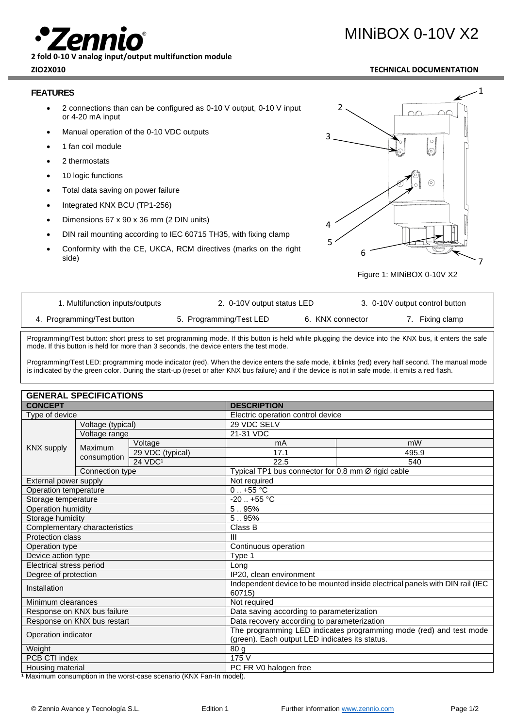**2 fold 0-10 V analog input/output multifunction module**

# **FEATURES**

- 2 connections than can be configured as 0-10 V output, 0-10 V input or 4-20 mA input
- Manual operation of the 0-10 VDC outputs
- 1 fan coil module
- 2 thermostats
- 10 logic functions
- Total data saving on power failure
- Integrated KNX BCU (TP1-256)
- Dimensions 67 x 90 x 36 mm (2 DIN units)
- DIN rail mounting according to IEC 60715 TH35, with fixing clamp
- Conformity with the CE, UKCA, RCM directives (marks on the right side)



Figure 1: MINiBOX 0-10V X2

| 1. Multifunction inputs/outputs | 2. 0-10V output status LED |                  | 3. 0-10V output control button |
|---------------------------------|----------------------------|------------------|--------------------------------|
| 4. Programming/Test button      | 5. Programming/Test LED    | 6. KNX connector | 7. Fixing clamp                |

Programming/Test button: short press to set programming mode. If this button is held while plugging the device into the KNX bus, it enters the safe mode. If this button is held for more than 3 seconds, the device enters the test mode.

Programming/Test LED: programming mode indicator (red). When the device enters the safe mode, it blinks (red) every half second. The manual mode is indicated by the green color. During the start-up (reset or after KNX bus failure) and if the device is not in safe mode, it emits a red flash.

|                               | <b>GENERAL SPECIFICATIONS</b> |                                                |                                                                              |       |  |  |
|-------------------------------|-------------------------------|------------------------------------------------|------------------------------------------------------------------------------|-------|--|--|
| <b>CONCEPT</b>                |                               | <b>DESCRIPTION</b>                             |                                                                              |       |  |  |
| Type of device                |                               |                                                | Electric operation control device                                            |       |  |  |
|                               | Voltage (typical)             |                                                | 29 VDC SELV                                                                  |       |  |  |
|                               | Voltage range                 |                                                | 21-31 VDC                                                                    |       |  |  |
|                               |                               | Voltage                                        | mA                                                                           | mW    |  |  |
| <b>KNX supply</b>             | <b>Maximum</b>                | 29 VDC (typical)                               | 17.1                                                                         | 495.9 |  |  |
|                               | consumption                   | 24 VDC <sup>1</sup>                            | 22.5                                                                         | 540   |  |  |
|                               | Connection type               |                                                | Typical TP1 bus connector for 0.8 mm Ø rigid cable                           |       |  |  |
| External power supply         |                               | Not required                                   |                                                                              |       |  |  |
| Operation temperature         |                               | $0.1 + 55$ °C                                  |                                                                              |       |  |  |
| Storage temperature           |                               |                                                | $-20$ $+55$ °C                                                               |       |  |  |
| Operation humidity            |                               |                                                | 5.95%                                                                        |       |  |  |
| Storage humidity              |                               |                                                | 5.95%                                                                        |       |  |  |
| Complementary characteristics |                               | Class B                                        |                                                                              |       |  |  |
| <b>Protection class</b>       |                               | $\mathbf{III}$                                 |                                                                              |       |  |  |
| Operation type                |                               | Continuous operation                           |                                                                              |       |  |  |
| Device action type            |                               |                                                | Type 1                                                                       |       |  |  |
| Electrical stress period      |                               |                                                | Long                                                                         |       |  |  |
| Degree of protection          |                               | IP20, clean environment                        |                                                                              |       |  |  |
| Installation                  |                               | 60715)                                         | Independent device to be mounted inside electrical panels with DIN rail (IEC |       |  |  |
| Minimum clearances            |                               |                                                | Not required                                                                 |       |  |  |
| Response on KNX bus failure   |                               | Data saving according to parameterization      |                                                                              |       |  |  |
| Response on KNX bus restart   |                               | Data recovery according to parameterization    |                                                                              |       |  |  |
|                               |                               |                                                | The programming LED indicates programming mode (red) and test mode           |       |  |  |
| Operation indicator           |                               | (green). Each output LED indicates its status. |                                                                              |       |  |  |
| Weight                        |                               | 80 <sub>g</sub>                                |                                                                              |       |  |  |
| PCB CTI index                 |                               | 175 V                                          |                                                                              |       |  |  |
| Housing material              |                               | PC FR V0 halogen free                          |                                                                              |       |  |  |

1 Maximum consumption in the worst-case scenario (KNX Fan-In model).

# MINiBOX 0-10V X2

# **ZIO2X010 TECHNICAL DOCUMENTATION**